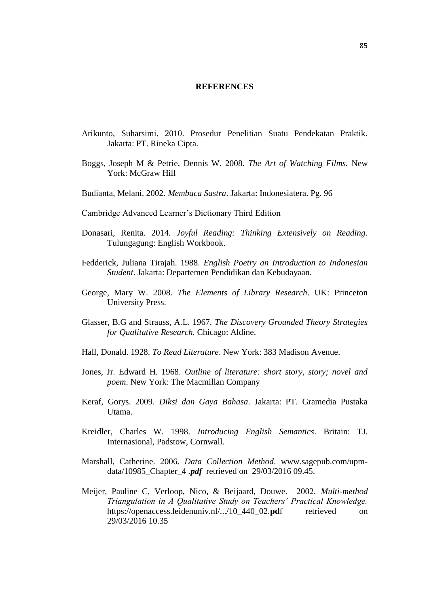## **REFERENCES**

- Arikunto, Suharsimi. 2010. Prosedur Penelitian Suatu Pendekatan Praktik. Jakarta: PT. Rineka Cipta.
- Boggs, Joseph M & Petrie, Dennis W. 2008. *The Art of Watching Films.* New York: McGraw Hill
- Budianta, Melani. 2002. *Membaca Sastra*. Jakarta: Indonesiatera. Pg. 96
- Cambridge Advanced Learner's Dictionary Third Edition
- Donasari, Renita. 2014. *Joyful Reading: Thinking Extensively on Reading*. Tulungagung: English Workbook.
- Fedderick, Juliana Tirajah. 1988. *English Poetry an Introduction to Indonesian Student*. Jakarta: Departemen Pendidikan dan Kebudayaan.
- George, Mary W. 2008. *The Elements of Library Research*. UK: Princeton University Press.
- Glasser, B.G and Strauss, A.L. 1967. *The Discovery Grounded Theory Strategies for Qualitative Research.* Chicago: Aldine.
- Hall, Donald. 1928. *To Read Literature*. New York: 383 Madison Avenue.
- Jones, Jr. Edward H. 1968. *Outline of literature: short story, story; novel and poem*. New York: The Macmillan Company
- Keraf, Gorys. 2009. *Diksi dan Gaya Bahasa*. Jakarta: PT. Gramedia Pustaka Utama.
- Kreidler, Charles W. 1998. *Introducing English Semantics*. Britain: TJ. Internasional, Padstow, Cornwall.
- Marshall, Catherine. 2006. *Data Collection Method*. [www.sagepub.com/upm](http://www.sagepub.com/upm-data/10985_Chapter_4)[data/10985\\_Chapter\\_4](http://www.sagepub.com/upm-data/10985_Chapter_4) *.pdf* retrieved on 29/03/2016 09.45.
- Meijer, Pauline C, Verloop, Nico, & Beijaard, Douwe. 2002. *Multi-method Triangulation in A Qualitative Study on Teachers' Practical Knowledge.* [https://openaccess.leidenuniv.nl/.../10\\_440\\_02.](https://openaccess.leidenuniv.nl/.../10_440_02.pdf%20retreived%20on%2029/03/2016%2010.35)pdf retrieved on [29/03/2016 10.35](https://openaccess.leidenuniv.nl/.../10_440_02.pdf%20retreived%20on%2029/03/2016%2010.35)